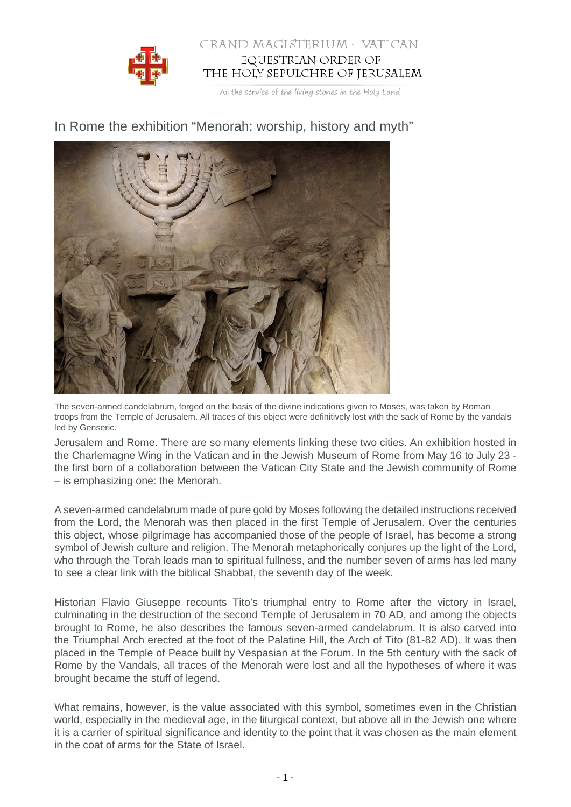

## GRAND MAGISTERIUM - VATICAN EQUESTRIAN ORDER OF THE HOLY SEPULCHRE OF JERUSALEM

At the service of the living stones in the Holy Land

In Rome the exhibition "Menorah: worship, history and myth"

The seven-armed candelabrum, forged on the basis of the divine indications given to Moses, was taken by Roman troops from the Temple of Jerusalem. All traces of this object were definitively lost with the sack of Rome by the vandals led by Genseric.

Jerusalem and Rome. There are so many elements linking these two cities. An exhibition hosted in the Charlemagne Wing in the Vatican and in the Jewish Museum of Rome from May 16 to July 23 the first born of a collaboration between the Vatican City State and the Jewish community of Rome – is emphasizing one: the Menorah.

A seven-armed candelabrum made of pure gold by Moses following the detailed instructions received from the Lord, the Menorah was then placed in the first Temple of Jerusalem. Over the centuries this object, whose pilgrimage has accompanied those of the people of Israel, has become a strong symbol of Jewish culture and religion. The Menorah metaphorically conjures up the light of the Lord, who through the Torah leads man to spiritual fullness, and the number seven of arms has led many to see a clear link with the biblical Shabbat, the seventh day of the week.

Historian Flavio Giuseppe recounts Tito's triumphal entry to Rome after the victory in Israel, culminating in the destruction of the second Temple of Jerusalem in 70 AD, and among the objects brought to Rome, he also describes the famous seven-armed candelabrum. It is also carved into the Triumphal Arch erected at the foot of the Palatine Hill, the Arch of Tito (81-82 AD). It was then placed in the Temple of Peace built by Vespasian at the Forum. In the 5th century with the sack of Rome by the Vandals, all traces of the Menorah were lost and all the hypotheses of where it was brought became the stuff of legend.

What remains, however, is the value associated with this symbol, sometimes even in the Christian world, especially in the medieval age, in the liturgical context, but above all in the Jewish one where it is a carrier of spiritual significance and identity to the point that it was chosen as the main element in the coat of arms for the State of Israel.